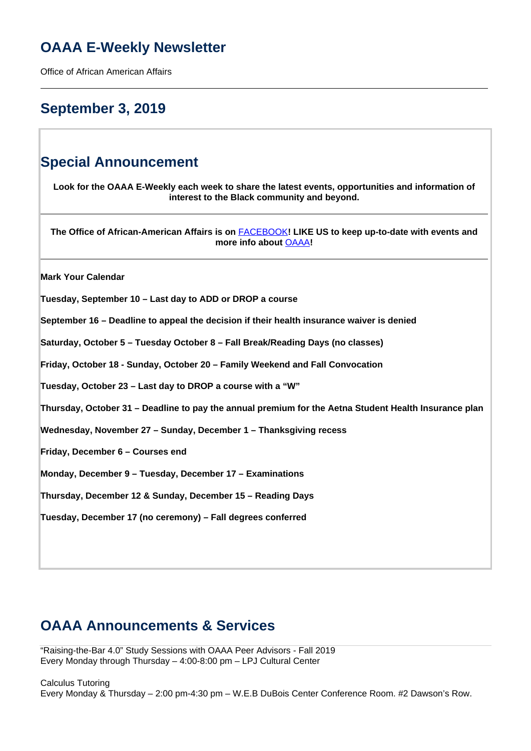# **OAAA E-Weekly Newsletter**

Office of African American Affairs

# **September 3, 2019**

### **Special Announcement**

**Look for the OAAA E-Weekly each week to share the latest events, opportunities and information of interest to the Black community and beyond.**

**The Office of African-American Affairs is on** [FACEBOOK](https://www.facebook.com/OfficeofAfricanAmericanAffairs)**! LIKE US to keep up-to-date with events and more info about** OAAA**!**

**Mark Your Calendar** 

**Tuesday, September 10 – Last day to ADD or DROP a course**

**September 16 – Deadline to appeal the decision if their health insurance waiver is denied**

**Saturday, October 5 – Tuesday October 8 – Fall Break/Reading Days (no classes)** 

**Friday, October 18 - Sunday, October 20 – Family Weekend and Fall Convocation**

**Tuesday, October 23 – Last day to DROP a course with a "W"**

**Thursday, October 31 – Deadline to pay the annual premium for the Aetna Student Health Insurance plan**

**Wednesday, November 27 – Sunday, December 1 – Thanksgiving recess**

**Friday, December 6 – Courses end**

**Monday, December 9 – Tuesday, December 17 – Examinations**

**Thursday, December 12 & Sunday, December 15 – Reading Days**

**Tuesday, December 17 (no ceremony) – Fall degrees conferred**

# **OAAA Announcements & Services**

"Raising-the-Bar 4.0" Study Sessions with OAAA Peer Advisors - Fall 2019 Every Monday through Thursday – 4:00-8:00 pm – LPJ Cultural Center

Calculus Tutoring Every Monday & Thursday – 2:00 pm-4:30 pm – W.E.B DuBois Center Conference Room. #2 Dawson's Row.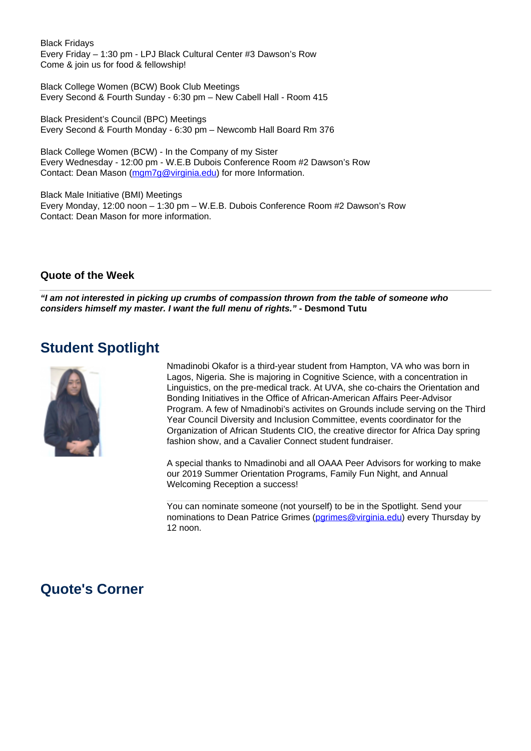Black Fridays Every Friday – 1:30 pm - LPJ Black Cultural Center #3 Dawson's Row Come & join us for food & fellowship!

Black College Women (BCW) Book Club Meetings Every Second & Fourth Sunday - 6:30 pm – New Cabell Hall - Room 415

Black President's Council (BPC) Meetings Every Second & Fourth Monday - 6:30 pm – Newcomb Hall Board Rm 376

Black College Women (BCW) - In the Company of my Sister Every Wednesday - 12:00 pm - W.E.B Dubois Conference Room #2 Dawson's Row Contact: Dean Mason (mgm7g@virginia.edu) for more Information.

Black Male Initiative (BMI) Meetings Every Monday, 12:00 noon – 1:30 pm – W.E.B. Dubois Conference Room #2 Dawson's Row Contact: Dean Mason for more information.

#### **Quote of the Week**

**"I am not interested in picking up crumbs of compassion thrown from the table of someone who considers himself my master. I want the full menu of rights." - Desmond Tutu**

#### **Student Spotlight**



Nmadinobi Okafor is a third-year student from Hampton, VA who was born in Lagos, Nigeria. She is majoring in Cognitive Science, with a concentration in Linguistics, on the pre-medical track. At UVA, she co-chairs the Orientation and Bonding Initiatives in the Office of African-American Affairs Peer-Advisor Program. A few of Nmadinobi's activites on Grounds include serving on the Third Year Council Diversity and Inclusion Committee, events coordinator for the Organization of African Students CIO, the creative director for Africa Day spring fashion show, and a Cavalier Connect student fundraiser.

A special thanks to Nmadinobi and all OAAA Peer Advisors for working to make our 2019 Summer Orientation Programs, Family Fun Night, and Annual Welcoming Reception a success!

You can nominate someone (not yourself) to be in the Spotlight. Send your nominations to Dean Patrice Grimes (parimes@virginia.edu) every Thursday by 12 noon.

#### **Quote's Corner**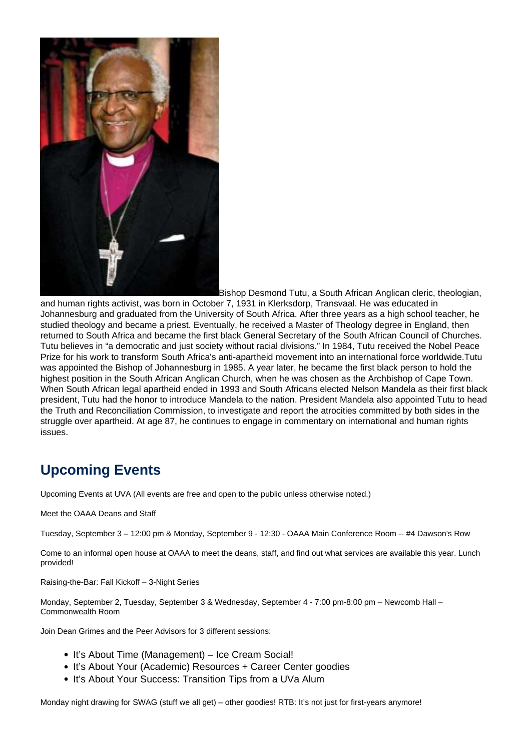

Bishop Desmond Tutu, a South African Anglican cleric, theologian, and human rights activist, was born in October 7, 1931 in Klerksdorp, Transvaal. He was educated in Johannesburg and graduated from the University of South Africa. After three years as a high school teacher, he studied theology and became a priest. Eventually, he received a Master of Theology degree in England, then returned to South Africa and became the first black General Secretary of the South African Council of Churches. Tutu believes in "a democratic and just society without racial divisions." In 1984, Tutu received the Nobel Peace Prize for his work to transform South Africa's anti-apartheid movement into an international force worldwide.Tutu was appointed the Bishop of Johannesburg in 1985. A year later, he became the first black person to hold the highest position in the South African Anglican Church, when he was chosen as the Archbishop of Cape Town. When South African legal apartheid ended in 1993 and South Africans elected Nelson Mandela as their first black president, Tutu had the honor to introduce Mandela to the nation. President Mandela also appointed Tutu to head the Truth and Reconciliation Commission, to investigate and report the atrocities committed by both sides in the struggle over apartheid. At age 87, he continues to engage in commentary on international and human rights issues.

# **Upcoming Events**

Upcoming Events at UVA (All events are free and open to the public unless otherwise noted.)

Meet the OAAA Deans and Staff

Tuesday, September 3 – 12:00 pm & Monday, September 9 - 12:30 - OAAA Main Conference Room -- #4 Dawson's Row

Come to an informal open house at OAAA to meet the deans, staff, and find out what services are available this year. Lunch provided!

Raising-the-Bar: Fall Kickoff – 3-Night Series

Monday, September 2, Tuesday, September 3 & Wednesday, September 4 - 7:00 pm-8:00 pm – Newcomb Hall – Commonwealth Room

Join Dean Grimes and the Peer Advisors for 3 different sessions:

- It's About Time (Management) Ice Cream Social!
- It's About Your (Academic) Resources + Career Center goodies
- It's About Your Success: Transition Tips from a UVa Alum

Monday night drawing for SWAG (stuff we all get) – other goodies! RTB: It's not just for first-years anymore!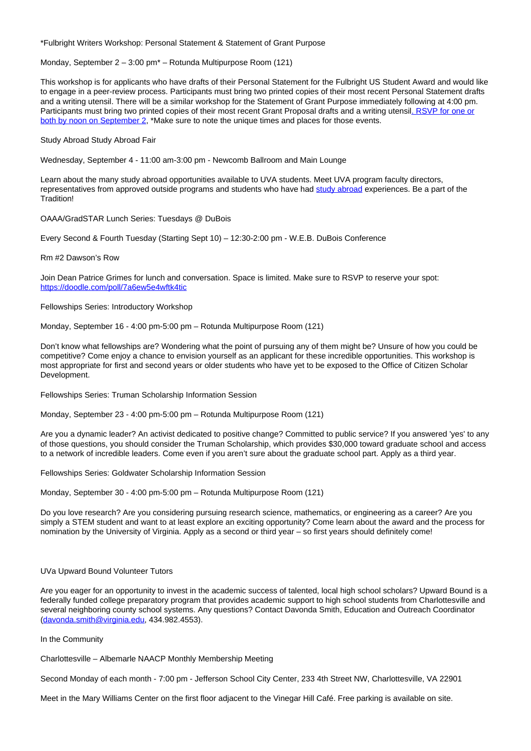\*Fulbright Writers Workshop: Personal Statement & Statement of Grant Purpose

Monday, September 2 – 3:00 pm\* – Rotunda Multipurpose Room (121)

This workshop is for applicants who have drafts of their Personal Statement for the Fulbright US Student Award and would like to engage in a peer-review process. Participants must bring two printed copies of their most recent Personal Statement drafts and a writing utensil. There will be a similar workshop for the Statement of Grant Purpose immediately following at 4:00 pm. Participants must bring two printed copies of their most recent Grant Proposal drafts and a writing utensil. RSVP for one or both by noon on September 2, \*Make sure to note the unique times and places for those events.

Study Abroad Study Abroad Fair

Wednesday, September 4 - 11:00 am-3:00 pm - Newcomb Ballroom and Main Lounge

Learn about the many study abroad opportunities available to UVA students. Meet UVA program faculty directors, representatives from approved outside programs and students who have had study abroad experiences. Be a part of the Tradition!

OAAA/GradSTAR Lunch Series: Tuesdays @ DuBois

Every Second & Fourth Tuesday (Starting Sept 10) – 12:30-2:00 pm - W.E.B. DuBois Conference

Rm #2 Dawson's Row

Join Dean Patrice Grimes for lunch and conversation. Space is limited. Make sure to RSVP to reserve your spot: https://doodle.com/poll/7a6ew5e4wftk4tic

Fellowships Series: Introductory Workshop

Monday, September 16 - 4:00 pm-5:00 pm – Rotunda Multipurpose Room (121)

Don't know what fellowships are? Wondering what the point of pursuing any of them might be? Unsure of how you could be competitive? Come enjoy a chance to envision yourself as an applicant for these incredible opportunities. This workshop is most appropriate for first and second years or older students who have yet to be exposed to the Office of Citizen Scholar Development.

Fellowships Series: Truman Scholarship Information Session

Monday, September 23 - 4:00 pm-5:00 pm – Rotunda Multipurpose Room (121)

Are you a dynamic leader? An activist dedicated to positive change? Committed to public service? If you answered 'yes' to any of those questions, you should consider the Truman Scholarship, which provides \$30,000 toward graduate school and access to a network of incredible leaders. Come even if you aren't sure about the graduate school part. Apply as a third year.

Fellowships Series: Goldwater Scholarship Information Session

Monday, September 30 - 4:00 pm-5:00 pm – Rotunda Multipurpose Room (121)

Do you love research? Are you considering pursuing research science, mathematics, or engineering as a career? Are you simply a STEM student and want to at least explore an exciting opportunity? Come learn about the award and the process for nomination by the University of Virginia. Apply as a second or third year – so first years should definitely come!

#### UVa Upward Bound Volunteer Tutors

Are you eager for an opportunity to invest in the academic success of talented, local high school scholars? Upward Bound is a federally funded college preparatory program that provides academic support to high school students from Charlottesville and several neighboring county school systems. Any questions? Contact Davonda Smith, Education and Outreach Coordinator (davonda.smith@virginia.edu, 434.982.4553).

In the Community

Charlottesville – Albemarle NAACP Monthly Membership Meeting

Second Monday of each month - 7:00 pm - Jefferson School City Center, 233 4th Street NW, Charlottesville, VA 22901

Meet in the Mary Williams Center on the first floor adjacent to the Vinegar Hill Café. Free parking is available on site.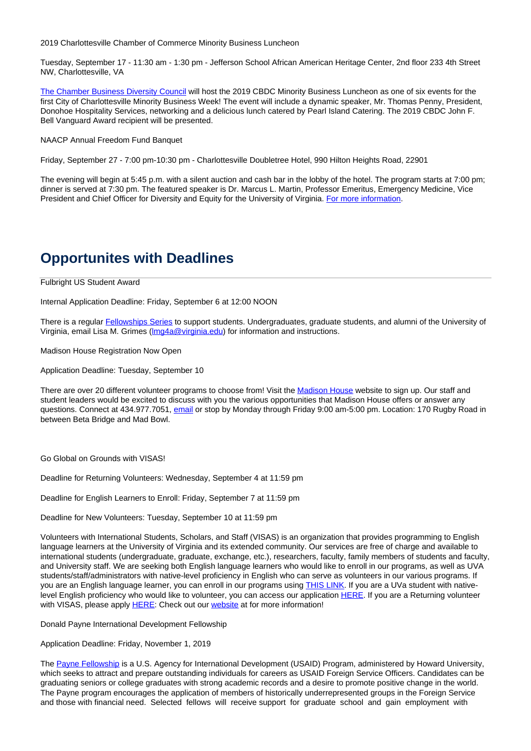2019 Charlottesville Chamber of Commerce Minority Business Luncheon

Tuesday, September 17 - 11:30 am - 1:30 pm - Jefferson School African American Heritage Center, 2nd floor 233 4th Street NW, Charlottesville, VA

The Chamber Business Diversity Council will host the 2019 CBDC Minority Business Luncheon as one of six events for the first City of Charlottesville Minority Business Week! The event will include a dynamic speaker, Mr. Thomas Penny, President, Donohoe Hospitality Services, networking and a delicious lunch catered by Pearl Island Catering. The 2019 CBDC John F. Bell Vanguard Award recipient will be presented.

NAACP Annual Freedom Fund Banquet

Friday, September 27 - 7:00 pm-10:30 pm - Charlottesville Doubletree Hotel, 990 Hilton Heights Road, 22901

The evening will begin at 5:45 p.m. with a silent auction and cash bar in the lobby of the hotel. The program starts at 7:00 pm; dinner is served at 7:30 pm. The featured speaker is Dr. Marcus L. Martin, Professor Emeritus, Emergency Medicine, Vice President and Chief Officer for Diversity and Equity for the University of Virginia. For more information.

### **Opportunites with Deadlines**

Fulbright US Student Award

Internal Application Deadline: Friday, September 6 at 12:00 NOON

There is a regular **Fellowships Series** to support students. Undergraduates, graduate students, and alumni of the University of Virginia, email Lisa M. Grimes ( $\text{Im}q4a@virginia.edu$ ) for information and instructions.

Madison House Registration Now Open

Application Deadline: Tuesday, September 10

There are over 20 different volunteer programs to choose from! Visit the Madison House website to sign up. Our staff and student leaders would be excited to discuss with you the various opportunities that Madison House offers or answer any questions. Connect at 434.977.7051, email or stop by Monday through Friday 9:00 am-5:00 pm. Location: 170 Rugby Road in between Beta Bridge and Mad Bowl.

Go Global on Grounds with VISAS!

Deadline for Returning Volunteers: Wednesday, September 4 at 11:59 pm

Deadline for English Learners to Enroll: Friday, September 7 at 11:59 pm

Deadline for New Volunteers: Tuesday, September 10 at 11:59 pm

Volunteers with International Students, Scholars, and Staff (VISAS) is an organization that provides programming to English language learners at the University of Virginia and its extended community. Our services are free of charge and available to international students (undergraduate, graduate, exchange, etc.), researchers, faculty, family members of students and faculty, and University staff. We are seeking both English language learners who would like to enroll in our programs, as well as UVA students/staff/administrators with native-level proficiency in English who can serve as volunteers in our various programs. If you are an English language learner, you can enroll in our programs using THIS LINK. If you are a UVa student with nativelevel English proficiency who would like to volunteer, you can access our application HERE. If you are a Returning volunteer with VISAS, please apply **HERE:** Check out our website at for more information!

Donald Payne International Development Fellowship

Application Deadline: Friday, November 1, 2019

The Payne Fellowship is a U.S. Agency for International Development (USAID) Program, administered by Howard University, which seeks to attract and prepare outstanding individuals for careers as USAID Foreign Service Officers. Candidates can be graduating seniors or college graduates with strong academic records and a desire to promote positive change in the world. The Payne program encourages the application of members of historically underrepresented groups in the Foreign Service and those with financial need. Selected fellows will receive support for graduate school and gain employment with